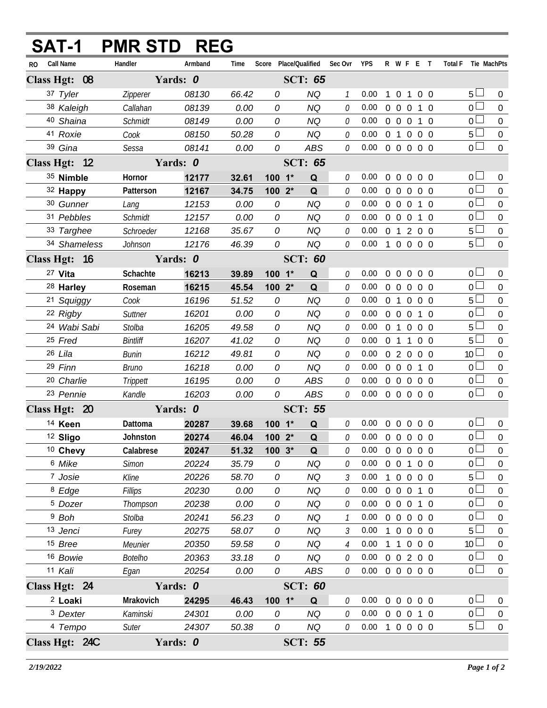| SAT-1                                  |              | <b>PMR STD REG</b> |                |                |                                   |                        |                   |                            |              |                   |                        |            |                               |                                  |                       |
|----------------------------------------|--------------|--------------------|----------------|----------------|-----------------------------------|------------------------|-------------------|----------------------------|--------------|-------------------|------------------------|------------|-------------------------------|----------------------------------|-----------------------|
| Call Name<br>RO.                       |              | Handler            | Armband        | Time           | Score Place/Qualified Sec Ovr YPS |                        |                   |                            |              |                   |                        |            | R W F E T Total F Tie MachPts |                                  |                       |
| Class Hgt: 08                          |              |                    | Yards: 0       |                |                                   | <b>SCT: 65</b>         |                   |                            |              |                   |                        |            |                               |                                  |                       |
| 37 Tyler                               |              | Zipperer           | 08130          | 66.42          | 0                                 | <b>NQ</b>              | $\mathcal{I}$     | 0.00                       | $\mathbf{1}$ | $\mathbf 0$       | 1                      | $0\quad 0$ |                               | 5 <sub>1</sub>                   | $\overline{0}$        |
| 38 Kaleigh                             |              | Callahan           | 08139          | 0.00           | 0                                 | <b>NQ</b>              | 0                 | 0.00                       | $0\quad 0$   |                   | $\overline{0}$         | $1\quad0$  |                               | $\overline{0}$                   | $\Omega$              |
| 40 Shaina                              |              | <b>Schmidt</b>     | 08149          | 0.00           | 0                                 | <b>NQ</b>              | 0                 | 0.00                       |              | $0\quad 0\quad 0$ |                        | 1 0        |                               | 0 <sup>1</sup>                   | $\mathbf 0$           |
| 41 Roxie                               |              | Cook               | 08150          | 50.28          | 0                                 | <b>NQ</b>              | 0                 | 0.00                       |              | 0 <sub>1</sub>    | $\overline{0}$         | $0\quad 0$ |                               | $5\Box$                          | $\boldsymbol{0}$      |
| 39 Gina                                |              | Sessa              | 08141          | 0.00           | 0                                 | ABS                    | 0                 | 0.00                       |              |                   | 0 0 0 0 0              |            |                               | $\overline{0}$                   | $\boldsymbol{0}$      |
| Class Hgt: 12                          |              |                    | Yards: 0       |                |                                   | <b>SCT: 65</b>         |                   |                            |              |                   |                        |            |                               |                                  |                       |
| 35 Nimble                              |              | Hornor             | 12177          | 32.61          | 100 1*                            | Q                      | 0                 | 0.00                       | $0\quad 0$   |                   | $\overline{0}$         | $0\quad 0$ |                               | 0 <sub>0</sub>                   | $\mathbf 0$           |
| 32 Happy                               |              | Patterson          | 12167          | 34.75          | 100 2*                            | Q                      | 0                 | 0.00                       |              |                   | 0 0 0 0 0              |            |                               | $\overline{0}$                   | $\overline{0}$        |
| 30 Gunner                              |              | Lang               | 12153          | 0.00           | 0                                 | <b>NQ</b>              | 0                 | 0.00                       |              | $0\quad 0\quad 0$ |                        | $1\quad 0$ |                               | 0 <sub>0</sub>                   | $\mathbf 0$           |
| 31 Pebbles                             |              | <b>Schmidt</b>     | 12157          | 0.00           | 0                                 | <b>NQ</b>              | 0                 | 0.00                       |              |                   | 0 0 0 1 0              |            |                               | $\overline{0}$                   | $\mathbf 0$           |
|                                        | 33 Targhee   | Schroeder          | 12168          | 35.67          | 0                                 | <b>NQ</b>              | 0                 | 0.00                       |              |                   | 0 1 2 0 0              |            |                               | $5\perp$                         | $\mathbf 0$           |
|                                        | 34 Shameless | Johnson            | 12176          | 46.39          | 0                                 | <b>NQ</b>              | 0                 | 0.00 1 0 0 0 0             |              |                   |                        |            |                               | $5\Box$                          | $\overline{0}$        |
| Class Hgt: 16                          |              | Yards: 0           |                | <b>SCT: 60</b> |                                   |                        |                   |                            |              |                   |                        |            |                               |                                  |                       |
| 27 Vita                                |              | Schachte           | 16213          | 39.89          | 100 1*                            | Q                      | 0                 | 0.00                       |              |                   | 00000                  |            |                               | 0 <sub>0</sub>                   | $\overline{0}$        |
| <sup>28</sup> Harley                   |              | Roseman            | 16215          | 45.54          | 100 2*                            | Q                      | 0                 | 0.00                       |              |                   | 0 0 0 0 0              |            |                               | $\overline{0}$ $\Box$            | $\overline{0}$        |
|                                        | 21 Squiggy   | Cook               | 16196          | 51.52          | 0                                 | <b>NQ</b>              | 0                 | 0.00                       |              |                   | 0 1 0 0 0              |            |                               | $5\perp$                         | $\mathbf 0$           |
| 22 Rigby                               |              | Suttner            | 16201          | 0.00           | 0                                 | <b>NQ</b>              | 0                 | 0.00                       |              | $0\quad 0\quad 0$ |                        | $1\quad0$  |                               | 0 <sup>1</sup>                   | $\mathbf 0$           |
|                                        | 24 Wabi Sabi | Stolba             | 16205          | 49.58          | 0                                 | <b>NQ</b>              | 0                 | 0.00                       |              |                   | 0 1 0 0 0              |            |                               | 5 <sub>1</sub>                   | $\boldsymbol{0}$      |
| 25 Fred                                |              | <b>Bintliff</b>    | 16207          | 41.02          | 0                                 | <b>NQ</b>              | 0                 | 0.00                       |              |                   | 0 1 1 0 0              |            |                               | 5 <sub>1</sub>                   | $\mathbf 0$           |
| 26 Lila                                |              | <b>Bunin</b>       | 16212          | 49.81          | 0                                 | <b>NQ</b>              | 0                 | 0.00                       |              |                   | 0 2 0 0 0              |            |                               | 10 <sup>1</sup>                  | $\boldsymbol{0}$      |
| 29 Finn                                |              | Bruno              | 16218          | 0.00           | 0                                 | <b>NQ</b>              | 0                 | 0.00                       |              |                   | 0 0 0 1 0              |            |                               | 0 <sup>1</sup>                   | $\overline{0}$        |
| <sup>20</sup> Charlie                  |              | Trippett           | 16195          | 0.00           | 0                                 | <b>ABS</b>             | 0                 | 0.00                       |              |                   | 0 0 0 0 0              |            |                               | 0 <sub>1</sub>                   | $\boldsymbol{0}$      |
| 23 Pennie                              |              | Kandle             | 16203          | 0.00           | 0                                 | ABS<br><b>SCT: 55</b>  | 0                 | $0.00 \t0 \t0 \t0 \t0 \t0$ |              |                   |                        |            |                               | 0 <sub>0</sub>                   | $\overline{0}$        |
| Class Hgt: 20                          |              | Yards: 0           |                |                |                                   |                        |                   |                            |              |                   |                        |            |                               |                                  |                       |
| 14 Keen                                |              | Dattoma            | 20287          | 39.68          | $100 - 1*$                        | $\mathbf Q$            | 0                 | $0.00 \t0 \t0 \t0 \t0 \t0$ |              |                   |                        |            |                               | 0 <sub>1</sub>                   | $\overline{0}$        |
| <sup>12</sup> Sligo                    |              | Johnston           | 20274          | 46.04          | $1002*$                           | $\mathbf{Q}$           |                   | 0.000000000                |              |                   |                        |            |                               | $\overline{0}$                   | $\overline{0}$        |
| 10 Chevy                               |              | Calabrese          | 20247          | 51.32          | $100.3*$                          | Q                      | 0                 | 0.00                       |              |                   | 0 0 0 0 0              |            |                               | 0 <sub>0</sub>                   | 0                     |
| 6 Mike                                 |              | Simon              | 20224          | 35.79          | 0                                 | <b>NQ</b>              | 0                 | 0.00                       |              |                   | 0 0 1 0 0              |            |                               | $\overline{0}$                   | $\boldsymbol{0}$      |
| 7 Josie                                |              | Kline              | 20226          | 58.70          | 0                                 | <b>NQ</b>              | 3                 | 0.00                       |              | $1\quad 0$        | $0\quad 0\quad 0$      |            |                               | $5+$<br>$\overline{0}$           | 0                     |
| <sup>8</sup> Edge                      |              | Fillips            | 20230          | 0.00           | 0                                 | <b>NQ</b>              | 0                 | 0.00                       |              |                   | 0 0 0 1 0              |            |                               |                                  | $\boldsymbol{0}$      |
| <sup>5</sup> Dozer<br><sup>9</sup> Boh |              | Thompson           | 20238          | 0.00           | 0<br>0                            | <b>NQ</b>              | 0<br>$\mathcal I$ | 0.00<br>0.00               |              |                   | 0 0 0 1 0<br>0 0 0 0 0 |            |                               | 0 <sub>0</sub><br>0 <sub>0</sub> | 0                     |
| 13 Jenci                               |              | Stolba             | 20241<br>20275 | 56.23<br>58.07 | 0                                 | <b>NQ</b><br><b>NQ</b> | 3                 | 0.00                       |              |                   | 1 0 0 0 0              |            |                               | 5 <sub>1</sub>                   | $\boldsymbol{0}$      |
| 15 Bree                                |              | Furey<br>Meunier   | 20350          | 59.58          | 0                                 | <b>NQ</b>              | 4                 | 0.00                       |              | 1 1               | $0\quad 0\quad 0$      |            |                               | 10 <sup>1</sup>                  | 0<br>$\boldsymbol{0}$ |
| 16 Bowie                               |              | <b>Botelho</b>     | 20363          | 33.18          | 0                                 | <b>NQ</b>              | 0                 | 0.00                       |              |                   | 0 0 2 0 0              |            |                               | $0-$                             | 0                     |
| 11 Kali                                |              | Egan               | 20254          | 0.00           | 0                                 | ABS                    | 0                 | $0.00 \t0 \t0 \t0 \t0 \t0$ |              |                   |                        |            |                               | 0 <sup>1</sup>                   | $\mathbf 0$           |
| Class Hgt: 24                          |              |                    | Yards: 0       |                |                                   | <b>SCT: 60</b>         |                   |                            |              |                   |                        |            |                               |                                  |                       |
| <sup>2</sup> Loaki                     |              | Mrakovich          | 24295          | 46.43          | 100 1*                            | Q                      | 0                 | 0.00                       |              |                   | 0 0 0 0 0              |            |                               | $0 -$                            | 0                     |
| <sup>3</sup> Dexter                    |              | Kaminski           | 24301          | 0.00           | 0                                 | <b>NQ</b>              | 0                 | 0.00                       |              |                   | 0 0 0 1 0              |            |                               | 0 <sup>1</sup>                   | $\boldsymbol{0}$      |
| 4 Tempo                                |              | Suter              | 24307          | 50.38          | 0                                 | NQ                     | 0                 | 0.00                       |              |                   | 1 0 0 0 0              |            |                               | $5+$                             | $\boldsymbol{0}$      |
| Class Hgt: 24C                         |              |                    | Yards: 0       |                |                                   | <b>SCT: 55</b>         |                   |                            |              |                   |                        |            |                               |                                  |                       |